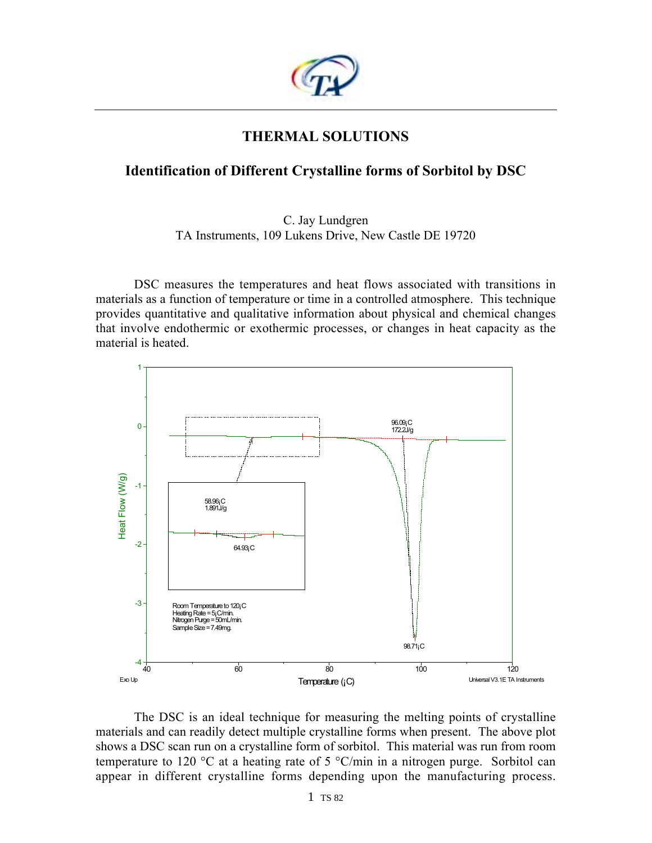

# **THERMAL SOLUTIONS**

## **Identification of Different Crystalline forms of Sorbitol by DSC**

## C. Jay Lundgren TA Instruments, 109 Lukens Drive, New Castle DE 19720

DSC measures the temperatures and heat flows associated with transitions in materials as a function of temperature or time in a controlled atmosphere. This technique provides quantitative and qualitative information about physical and chemical changes that involve endothermic or exothermic processes, or changes in heat capacity as the material is heated.



The DSC is an ideal technique for measuring the melting points of crystalline materials and can readily detect multiple crystalline forms when present. The above plot shows a DSC scan run on a crystalline form of sorbitol. This material was run from room temperature to 120 °C at a heating rate of 5 °C/min in a nitrogen purge. Sorbitol can appear in different crystalline forms depending upon the manufacturing process.